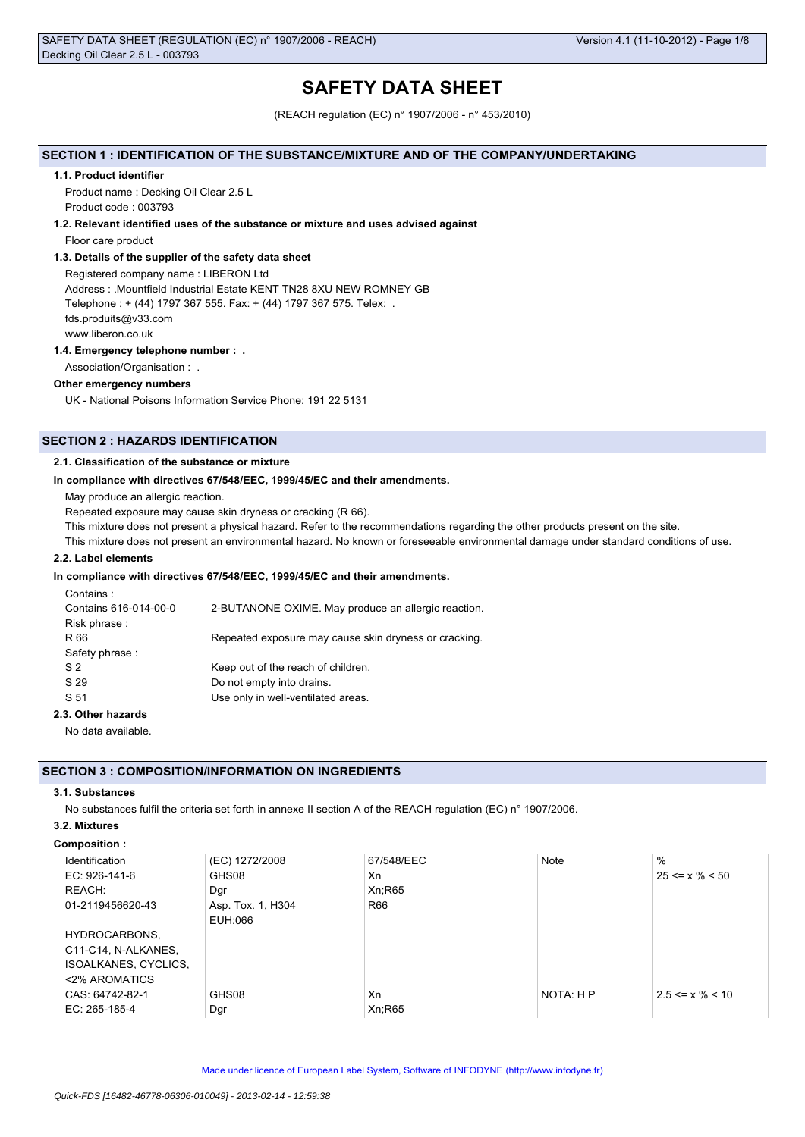# **SAFETY DATA SHEET**

(REACH regulation (EC) n° 1907/2006 - n° 453/2010)

## **SECTION 1 : IDENTIFICATION OF THE SUBSTANCE/MIXTURE AND OF THE COMPANY/UNDERTAKING**

## **1.1. Product identifier**

Product name : Decking Oil Clear 2.5 L Product code : 003793

## **1.2. Relevant identified uses of the substance or mixture and uses advised against**

Floor care product

## **1.3. Details of the supplier of the safety data sheet**

Registered company name : LIBERON Ltd Address : .Mountfield Industrial Estate KENT TN28 8XU NEW ROMNEY GB Telephone : + (44) 1797 367 555. Fax: + (44) 1797 367 575. Telex: . fds.produits@v33.com www.liberon.co.uk

## **1.4. Emergency telephone number : .**

Association/Organisation : .

## **Other emergency numbers**

UK - National Poisons Information Service Phone: 191 22 5131

## **SECTION 2 : HAZARDS IDENTIFICATION**

## **2.1. Classification of the substance or mixture**

## **In compliance with directives 67/548/EEC, 1999/45/EC and their amendments.**

May produce an allergic reaction.

Repeated exposure may cause skin dryness or cracking (R 66).

This mixture does not present a physical hazard. Refer to the recommendations regarding the other products present on the site.

This mixture does not present an environmental hazard. No known or foreseeable environmental damage under standard conditions of use.

## **2.2. Label elements**

## **In compliance with directives 67/548/EEC, 1999/45/EC and their amendments.**

| Contains:             |                                                       |
|-----------------------|-------------------------------------------------------|
| Contains 616-014-00-0 | 2-BUTANONE OXIME. May produce an allergic reaction.   |
| Risk phrase:          |                                                       |
| R 66                  | Repeated exposure may cause skin dryness or cracking. |
| Safety phrase:        |                                                       |
| S <sub>2</sub>        | Keep out of the reach of children.                    |
| S 29                  | Do not empty into drains.                             |
| S 51                  | Use only in well-ventilated areas.                    |
| 2.3. Other hazards    |                                                       |
|                       |                                                       |

No data available.

## **SECTION 3 : COMPOSITION/INFORMATION ON INGREDIENTS**

## **3.1. Substances**

No substances fulfil the criteria set forth in annexe II section A of the REACH regulation (EC) n° 1907/2006.

## **3.2. Mixtures**

## **Composition :**

| Identification       | (EC) 1272/2008    | 67/548/EEC | <b>Note</b> | $\%$                  |
|----------------------|-------------------|------------|-------------|-----------------------|
| EC: 926-141-6        | GHS08             | Xn         |             | $25 \le x \% \le 50$  |
| REACH:               | Dgr               | Xn;R65     |             |                       |
| 01-2119456620-43     | Asp. Tox. 1, H304 | R66        |             |                       |
|                      | EUH:066           |            |             |                       |
| HYDROCARBONS,        |                   |            |             |                       |
| C11-C14, N-ALKANES,  |                   |            |             |                       |
| ISOALKANES, CYCLICS, |                   |            |             |                       |
| <2% AROMATICS        |                   |            |             |                       |
| CAS: 64742-82-1      | GHS08             | Xn         | NOTA: H P   | $2.5 \le x \% \le 10$ |
| EC: $265-185-4$      | Dgr               | Xn;R65     |             |                       |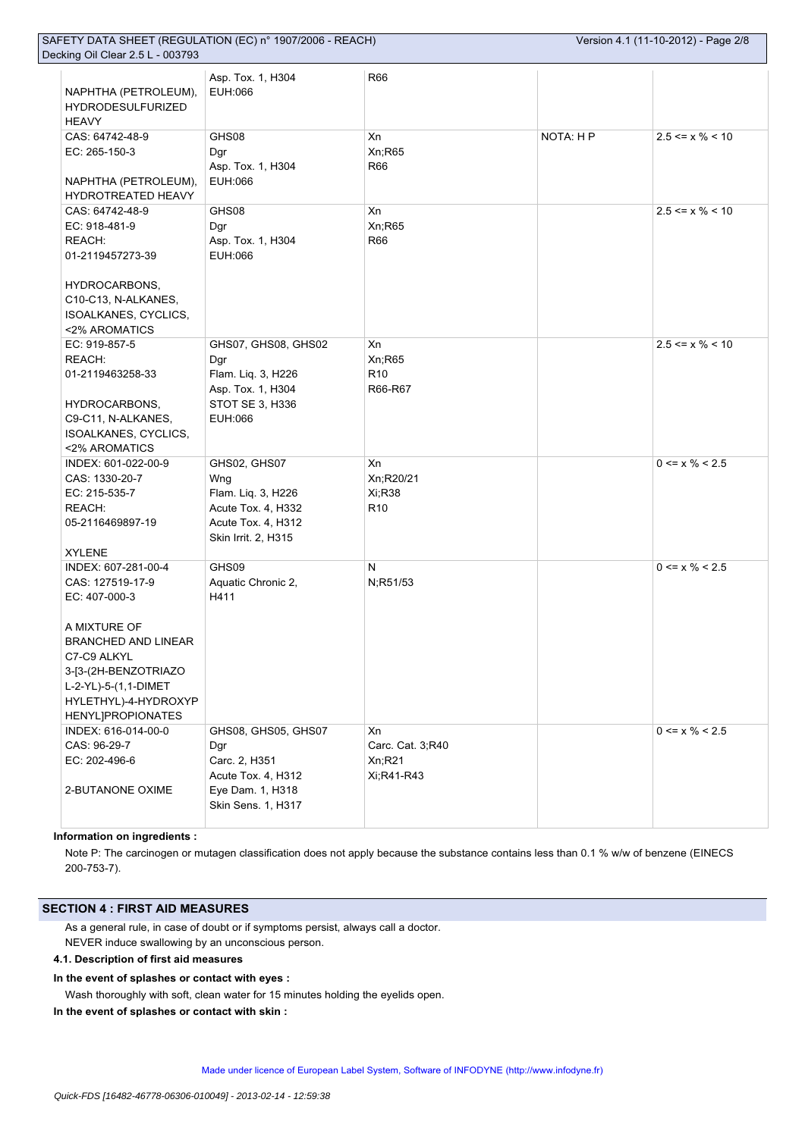| NAPHTHA (PETROLEUM),<br><b>HYDRODESULFURIZED</b><br><b>HEAVY</b> | Asp. Tox. 1, H304<br>EUH:066 | <b>R66</b>       |           |                               |
|------------------------------------------------------------------|------------------------------|------------------|-----------|-------------------------------|
| CAS: 64742-48-9                                                  | GHS08                        | Xn               | NOTA: H P | $2.5 \le x \% \le 10$         |
| EC: 265-150-3                                                    | Dgr                          | Xn; R65          |           |                               |
|                                                                  | Asp. Tox. 1, H304            | <b>R66</b>       |           |                               |
| NAPHTHA (PETROLEUM),                                             | EUH:066                      |                  |           |                               |
| HYDROTREATED HEAVY                                               |                              |                  |           |                               |
| CAS: 64742-48-9                                                  | GHS08                        | Xn               |           | $2.5 \le x \% \le 10$         |
| EC: 918-481-9                                                    | Dgr                          | Xn;R65           |           |                               |
| REACH:                                                           | Asp. Tox. 1, H304            | <b>R66</b>       |           |                               |
|                                                                  | EUH:066                      |                  |           |                               |
| 01-2119457273-39                                                 |                              |                  |           |                               |
|                                                                  |                              |                  |           |                               |
| HYDROCARBONS,                                                    |                              |                  |           |                               |
| C10-C13, N-ALKANES,                                              |                              |                  |           |                               |
| ISOALKANES, CYCLICS,                                             |                              |                  |           |                               |
| <2% AROMATICS                                                    |                              |                  |           |                               |
| EC: 919-857-5                                                    | GHS07, GHS08, GHS02          | Xn               |           | $2.5 \le x \% \le 10$         |
| REACH:                                                           | Dgr                          | Xn; R65          |           |                               |
| 01-2119463258-33                                                 | Flam. Liq. 3, H226           | R <sub>10</sub>  |           |                               |
|                                                                  | Asp. Tox. 1, H304            | R66-R67          |           |                               |
| HYDROCARBONS,                                                    | STOT SE 3, H336              |                  |           |                               |
| C9-C11, N-ALKANES,                                               | EUH:066                      |                  |           |                               |
| ISOALKANES, CYCLICS,                                             |                              |                  |           |                               |
| <2% AROMATICS                                                    |                              |                  |           |                               |
| INDEX: 601-022-00-9                                              | GHS02, GHS07                 | Xn               |           | $0 \le x \% \le 2.5$          |
| CAS: 1330-20-7                                                   | Wng                          | Xn;R20/21        |           |                               |
| EC: 215-535-7                                                    | Flam. Liq. 3, H226           | Xi;R38           |           |                               |
| REACH:                                                           | Acute Tox. 4, H332           | R <sub>10</sub>  |           |                               |
| 05-2116469897-19                                                 | Acute Tox. 4, H312           |                  |           |                               |
|                                                                  | Skin Irrit. 2, H315          |                  |           |                               |
| <b>XYLENE</b>                                                    |                              |                  |           |                               |
| INDEX: 607-281-00-4                                              | GHS09                        | N                |           | $0 \le x \% \le 2.5$          |
| CAS: 127519-17-9                                                 | Aquatic Chronic 2,           | N;R51/53         |           |                               |
| EC: 407-000-3                                                    | H411                         |                  |           |                               |
|                                                                  |                              |                  |           |                               |
| A MIXTURE OF                                                     |                              |                  |           |                               |
| <b>BRANCHED AND LINEAR</b>                                       |                              |                  |           |                               |
| C7-C9 ALKYL                                                      |                              |                  |           |                               |
| 3-[3-(2H-BENZOTRIAZO                                             |                              |                  |           |                               |
| L-2-YL)-5-(1,1-DIMET                                             |                              |                  |           |                               |
| HYLETHYL)-4-HYDROXYP                                             |                              |                  |           |                               |
|                                                                  |                              |                  |           |                               |
| <b>HENYLJPROPIONATES</b><br>INDEX: 616-014-00-0                  | GHS08, GHS05, GHS07          | Xn               |           | $0 \le x \frac{9}{6} \le 2.5$ |
| CAS: 96-29-7                                                     |                              | Carc. Cat. 3;R40 |           |                               |
|                                                                  | Dgr                          |                  |           |                               |
| EC: 202-496-6                                                    | Carc. 2, H351                | Xn; R21          |           |                               |
|                                                                  | Acute Tox. 4, H312           | Xi;R41-R43       |           |                               |
| 2-BUTANONE OXIME                                                 | Eye Dam. 1, H318             |                  |           |                               |
|                                                                  | Skin Sens. 1, H317           |                  |           |                               |
|                                                                  |                              |                  |           |                               |

## **Information on ingredients :**

Note P: The carcinogen or mutagen classification does not apply because the substance contains less than 0.1 % w/w of benzene (EINECS 200-753-7).

## **SECTION 4 : FIRST AID MEASURES**

As a general rule, in case of doubt or if symptoms persist, always call a doctor. NEVER induce swallowing by an unconscious person.

#### **4.1. Description of first aid measures**

**In the event of splashes or contact with eyes :**

Wash thoroughly with soft, clean water for 15 minutes holding the eyelids open.

**In the event of splashes or contact with skin :**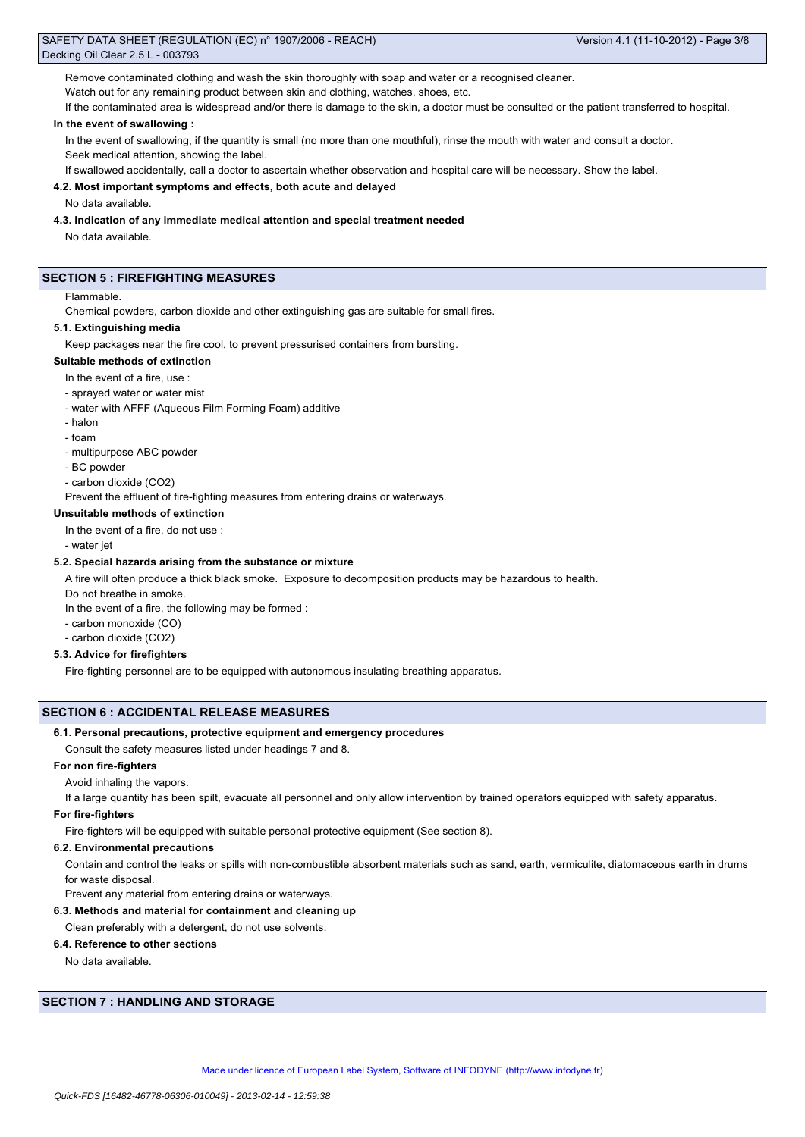Remove contaminated clothing and wash the skin thoroughly with soap and water or a recognised cleaner.

Watch out for any remaining product between skin and clothing, watches, shoes, etc.

If the contaminated area is widespread and/or there is damage to the skin, a doctor must be consulted or the patient transferred to hospital.

## **In the event of swallowing :**

In the event of swallowing, if the quantity is small (no more than one mouthful), rinse the mouth with water and consult a doctor. Seek medical attention, showing the label.

If swallowed accidentally, call a doctor to ascertain whether observation and hospital care will be necessary. Show the label.

#### **4.2. Most important symptoms and effects, both acute and delayed**

No data available.

#### **4.3. Indication of any immediate medical attention and special treatment needed**

No data available.

#### **SECTION 5 : FIREFIGHTING MEASURES**

#### Flammable.

Chemical powders, carbon dioxide and other extinguishing gas are suitable for small fires.

## **5.1. Extinguishing media**

Keep packages near the fire cool, to prevent pressurised containers from bursting.

#### **Suitable methods of extinction**

- In the event of a fire, use :
- sprayed water or water mist
- water with AFFF (Aqueous Film Forming Foam) additive
- halon
- foam
- multipurpose ABC powder
- BC powder
- carbon dioxide (CO2)

Prevent the effluent of fire-fighting measures from entering drains or waterways.

### **Unsuitable methods of extinction**

- In the event of a fire, do not use :
- water jet

#### **5.2. Special hazards arising from the substance or mixture**

A fire will often produce a thick black smoke. Exposure to decomposition products may be hazardous to health.

Do not breathe in smoke.

In the event of a fire, the following may be formed :

- carbon monoxide (CO)
- carbon dioxide (CO2)

## **5.3. Advice for firefighters**

Fire-fighting personnel are to be equipped with autonomous insulating breathing apparatus.

## **SECTION 6 : ACCIDENTAL RELEASE MEASURES**

#### **6.1. Personal precautions, protective equipment and emergency procedures**

Consult the safety measures listed under headings 7 and 8.

#### **For non fire-fighters**

Avoid inhaling the vapors.

If a large quantity has been spilt, evacuate all personnel and only allow intervention by trained operators equipped with safety apparatus.

#### **For fire-fighters**

Fire-fighters will be equipped with suitable personal protective equipment (See section 8).

#### **6.2. Environmental precautions**

Contain and control the leaks or spills with non-combustible absorbent materials such as sand, earth, vermiculite, diatomaceous earth in drums for waste disposal.

Prevent any material from entering drains or waterways.

## **6.3. Methods and material for containment and cleaning up**

Clean preferably with a detergent, do not use solvents.

## **6.4. Reference to other sections**

No data available.

## **SECTION 7 : HANDLING AND STORAGE**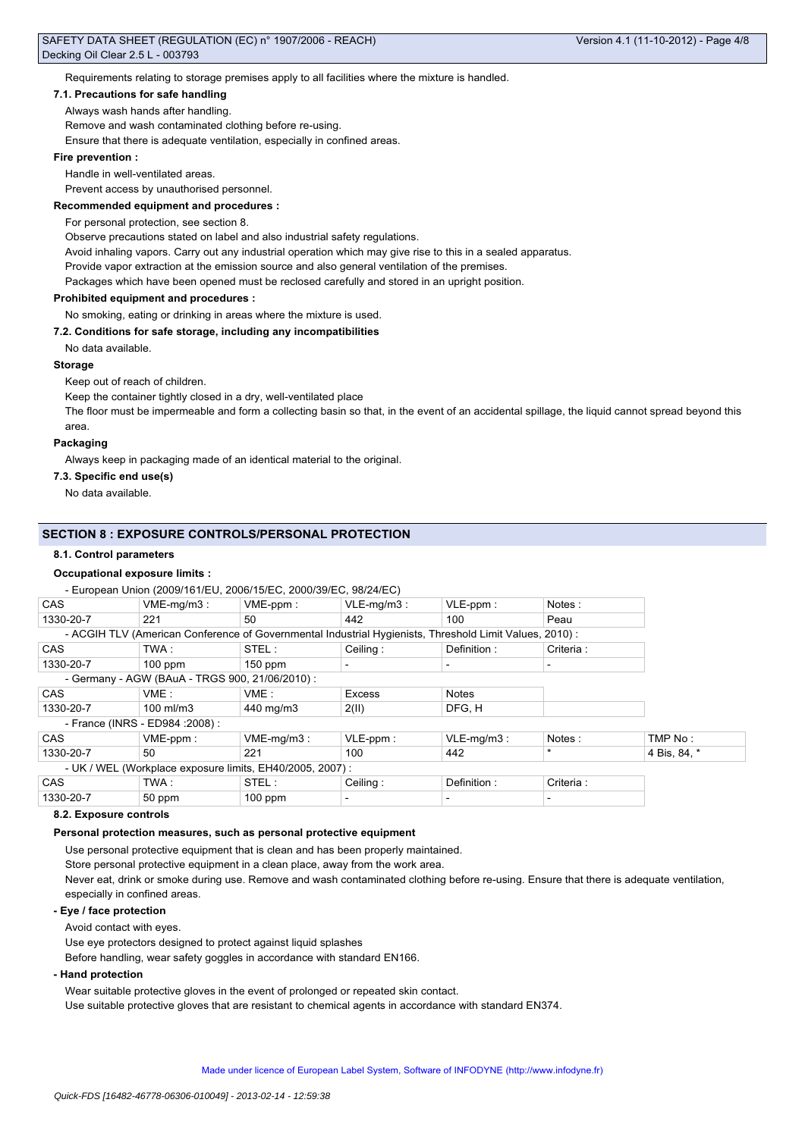Requirements relating to storage premises apply to all facilities where the mixture is handled.

#### **7.1. Precautions for safe handling**

Always wash hands after handling.

Remove and wash contaminated clothing before re-using.

Ensure that there is adequate ventilation, especially in confined areas.

#### **Fire prevention :**

Handle in well-ventilated areas.

Prevent access by unauthorised personnel.

#### **Recommended equipment and procedures :**

For personal protection, see section 8.

Observe precautions stated on label and also industrial safety regulations.

Avoid inhaling vapors. Carry out any industrial operation which may give rise to this in a sealed apparatus.

Provide vapor extraction at the emission source and also general ventilation of the premises.

Packages which have been opened must be reclosed carefully and stored in an upright position.

## **Prohibited equipment and procedures :**

No smoking, eating or drinking in areas where the mixture is used.

### **7.2. Conditions for safe storage, including any incompatibilities**

No data available.

#### **Storage**

Keep out of reach of children.

Keep the container tightly closed in a dry, well-ventilated place

The floor must be impermeable and form a collecting basin so that, in the event of an accidental spillage, the liquid cannot spread beyond this area.

#### **Packaging**

Always keep in packaging made of an identical material to the original.

#### **7.3. Specific end use(s)**

No data available.

#### **SECTION 8 : EXPOSURE CONTROLS/PERSONAL PROTECTION**

#### **8.1. Control parameters**

#### **Occupational exposure limits :**

|                                                          | - European Union (2009/161/EU, 2006/15/EC, 2000/39/EC, 98/24/EC) |               |               |                                                                                                        |           |              |
|----------------------------------------------------------|------------------------------------------------------------------|---------------|---------------|--------------------------------------------------------------------------------------------------------|-----------|--------------|
| <b>CAS</b>                                               | $VME-mq/m3$ :                                                    | VME-ppm:      | $VLE-mq/m3$ : | $VLE-ppm$ :                                                                                            | Notes:    |              |
| 1330-20-7                                                | 221                                                              | 50            | 442           | 100                                                                                                    | Peau      |              |
|                                                          |                                                                  |               |               | - ACGIH TLV (American Conference of Governmental Industrial Hygienists, Threshold Limit Values, 2010): |           |              |
| <b>CAS</b>                                               | TWA :                                                            | STEL:         | Ceiling:      | Definition:                                                                                            | Criteria: |              |
| 1330-20-7                                                | $100$ ppm                                                        | $150$ ppm     |               |                                                                                                        |           |              |
|                                                          | - Germany - AGW (BAuA - TRGS 900, 21/06/2010) :                  |               |               |                                                                                                        |           |              |
| <b>CAS</b>                                               | VME:                                                             | VME:          | <b>Excess</b> | <b>Notes</b>                                                                                           |           |              |
| 1330-20-7                                                | $100$ ml/m $3$                                                   | 440 mg/m3     | 2(11)         | DFG, H                                                                                                 |           |              |
| - France (INRS - ED984 : 2008) :                         |                                                                  |               |               |                                                                                                        |           |              |
| <b>CAS</b>                                               | $VME-ppm$ :                                                      | $VME-mq/m3$ : | $VLE-ppm$ :   | $VLE-mq/m3$ :                                                                                          | Notes:    | TMP No:      |
| 1330-20-7                                                | 50                                                               | 221           | 100           | 442                                                                                                    | $\star$   | 4 Bis, 84, * |
| - UK / WEL (Workplace exposure limits, EH40/2005, 2007): |                                                                  |               |               |                                                                                                        |           |              |
| <b>CAS</b>                                               | TWA :                                                            | STEL:         | Ceiling:      | Definition:                                                                                            | Criteria: |              |
| 1330-20-7                                                | 50 ppm                                                           | $100$ ppm     |               |                                                                                                        |           |              |

#### **8.2. Exposure controls**

#### **Personal protection measures, such as personal protective equipment**

Use personal protective equipment that is clean and has been properly maintained.

Store personal protective equipment in a clean place, away from the work area.

Never eat, drink or smoke during use. Remove and wash contaminated clothing before re-using. Ensure that there is adequate ventilation, especially in confined areas.

#### **- Eye / face protection**

Avoid contact with eyes.

Use eye protectors designed to protect against liquid splashes

Before handling, wear safety goggles in accordance with standard EN166.

#### **- Hand protection**

Wear suitable protective gloves in the event of prolonged or repeated skin contact. Use suitable protective gloves that are resistant to chemical agents in accordance with standard EN374.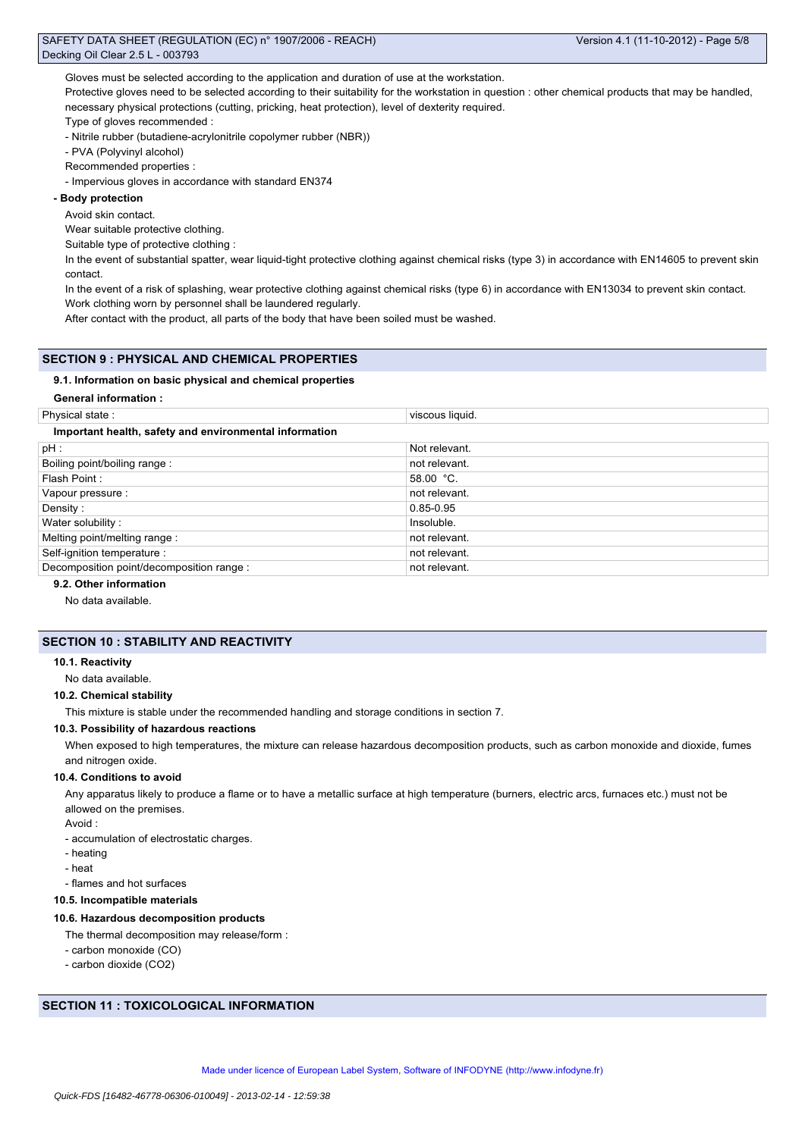Gloves must be selected according to the application and duration of use at the workstation.

Protective gloves need to be selected according to their suitability for the workstation in question : other chemical products that may be handled, necessary physical protections (cutting, pricking, heat protection), level of dexterity required.

Type of gloves recommended :

- Nitrile rubber (butadiene-acrylonitrile copolymer rubber (NBR))
- PVA (Polyvinyl alcohol)
- Recommended properties :

- Impervious gloves in accordance with standard EN374

## **- Body protection**

#### Avoid skin contact.

Wear suitable protective clothing.

Suitable type of protective clothing :

In the event of substantial spatter, wear liquid-tight protective clothing against chemical risks (type 3) in accordance with EN14605 to prevent skin contact.

In the event of a risk of splashing, wear protective clothing against chemical risks (type 6) in accordance with EN13034 to prevent skin contact. Work clothing worn by personnel shall be laundered regularly.

After contact with the product, all parts of the body that have been soiled must be washed.

## **SECTION 9 : PHYSICAL AND CHEMICAL PROPERTIES**

#### **9.1. Information on basic physical and chemical properties**

| <b>General information:</b>                            |                 |  |  |  |  |  |  |
|--------------------------------------------------------|-----------------|--|--|--|--|--|--|
| Physical state:                                        | viscous liquid. |  |  |  |  |  |  |
| Important health, safety and environmental information |                 |  |  |  |  |  |  |
| $pH$ :                                                 | Not relevant.   |  |  |  |  |  |  |
| Boiling point/boiling range:                           | not relevant.   |  |  |  |  |  |  |
| Flash Point:                                           | 58.00 °C.       |  |  |  |  |  |  |
| Vapour pressure :                                      | not relevant.   |  |  |  |  |  |  |
| Density:                                               | 0.85-0.95       |  |  |  |  |  |  |
| Water solubility:                                      | Insoluble.      |  |  |  |  |  |  |
| Melting point/melting range :                          | not relevant.   |  |  |  |  |  |  |
| Self-ignition temperature :                            | not relevant.   |  |  |  |  |  |  |
| Decomposition point/decomposition range :              | not relevant.   |  |  |  |  |  |  |

#### **9.2. Other information**

No data available.

## **SECTION 10 : STABILITY AND REACTIVITY**

#### **10.1. Reactivity**

No data available.

#### **10.2. Chemical stability**

This mixture is stable under the recommended handling and storage conditions in section 7.

#### **10.3. Possibility of hazardous reactions**

When exposed to high temperatures, the mixture can release hazardous decomposition products, such as carbon monoxide and dioxide, fumes and nitrogen oxide.

#### **10.4. Conditions to avoid**

Any apparatus likely to produce a flame or to have a metallic surface at high temperature (burners, electric arcs, furnaces etc.) must not be allowed on the premises.

Avoid :

- accumulation of electrostatic charges.

- heating
- heat
- flames and hot surfaces

#### **10.5. Incompatible materials**

#### **10.6. Hazardous decomposition products**

- The thermal decomposition may release/form :
- carbon monoxide (CO)
- carbon dioxide (CO2)

#### **SECTION 11 : TOXICOLOGICAL INFORMATION**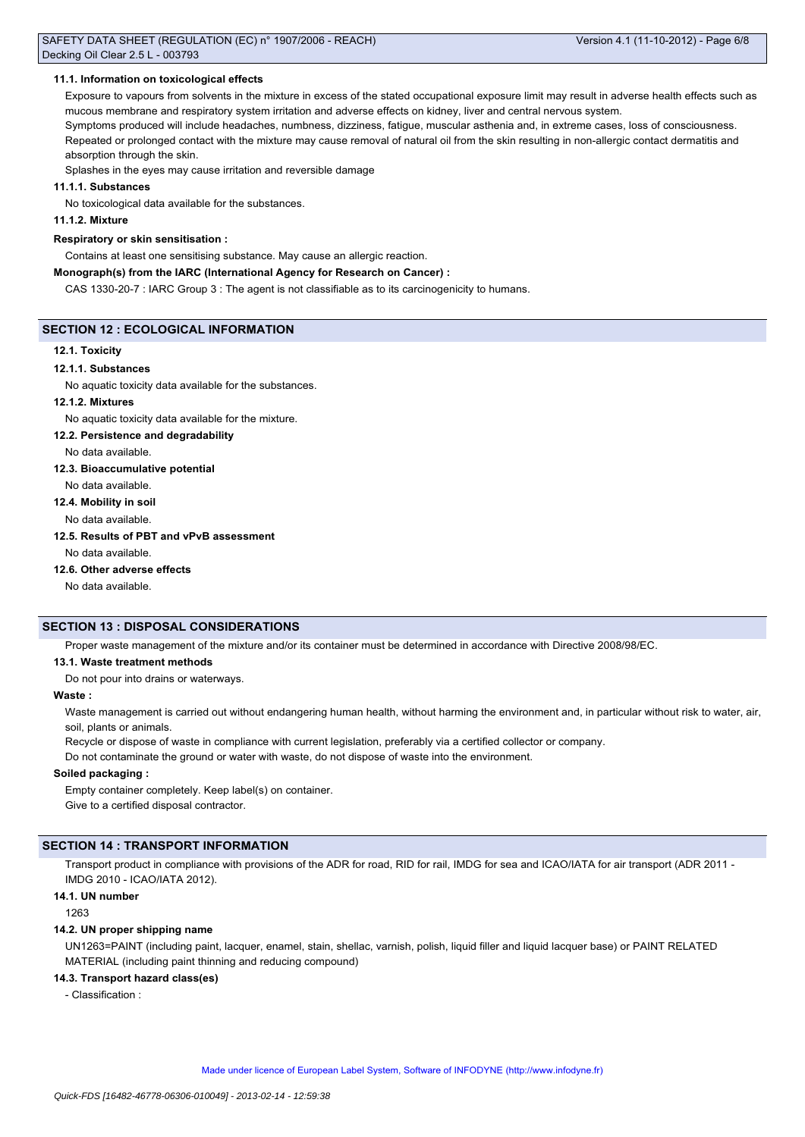#### **11.1. Information on toxicological effects**

Exposure to vapours from solvents in the mixture in excess of the stated occupational exposure limit may result in adverse health effects such as mucous membrane and respiratory system irritation and adverse effects on kidney, liver and central nervous system.

Symptoms produced will include headaches, numbness, dizziness, fatigue, muscular asthenia and, in extreme cases, loss of consciousness. Repeated or prolonged contact with the mixture may cause removal of natural oil from the skin resulting in non-allergic contact dermatitis and absorption through the skin.

Splashes in the eyes may cause irritation and reversible damage

#### **11.1.1. Substances**

No toxicological data available for the substances.

#### **11.1.2. Mixture**

#### **Respiratory or skin sensitisation :**

Contains at least one sensitising substance. May cause an allergic reaction.

#### **Monograph(s) from the IARC (International Agency for Research on Cancer) :**

CAS 1330-20-7 : IARC Group 3 : The agent is not classifiable as to its carcinogenicity to humans.

## **SECTION 12 : ECOLOGICAL INFORMATION**

## **12.1. Toxicity**

#### **12.1.1. Substances**

No aquatic toxicity data available for the substances.

#### **12.1.2. Mixtures**

No aquatic toxicity data available for the mixture.

#### **12.2. Persistence and degradability**

No data available.

#### **12.3. Bioaccumulative potential**

No data available.

## **12.4. Mobility in soil**

No data available.

## **12.5. Results of PBT and vPvB assessment**

No data available.

#### **12.6. Other adverse effects**

No data available.

#### **SECTION 13 : DISPOSAL CONSIDERATIONS**

Proper waste management of the mixture and/or its container must be determined in accordance with Directive 2008/98/EC.

## **13.1. Waste treatment methods**

Do not pour into drains or waterways.

#### **Waste :**

Waste management is carried out without endangering human health, without harming the environment and, in particular without risk to water, air, soil, plants or animals.

Recycle or dispose of waste in compliance with current legislation, preferably via a certified collector or company.

Do not contaminate the ground or water with waste, do not dispose of waste into the environment.

#### **Soiled packaging :**

Empty container completely. Keep label(s) on container. Give to a certified disposal contractor.

## **SECTION 14 : TRANSPORT INFORMATION**

Transport product in compliance with provisions of the ADR for road, RID for rail, IMDG for sea and ICAO/IATA for air transport (ADR 2011 -IMDG 2010 - ICAO/IATA 2012).

#### **14.1. UN number**

1263

#### **14.2. UN proper shipping name**

UN1263=PAINT (including paint, lacquer, enamel, stain, shellac, varnish, polish, liquid filler and liquid lacquer base) or PAINT RELATED MATERIAL (including paint thinning and reducing compound)

#### **14.3. Transport hazard class(es)**

- Classification :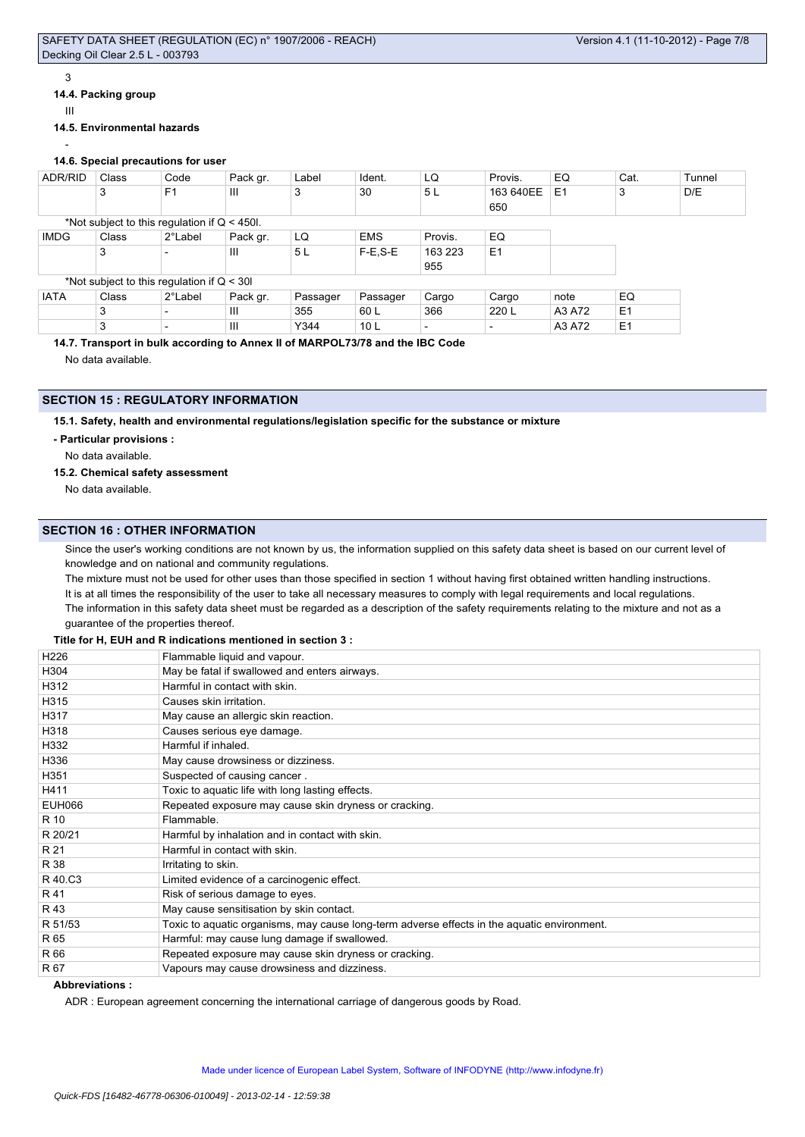## 3

## **14.4. Packing group**

III

#### **14.5. Environmental hazards**

#### - **14.6. Special precautions for user**

| ADR/RID     | Class                                          | Code           | Pack gr. | Label    | Ident.          | LQ      | Provis.                  | EQ             | Cat.           | Tunnel |
|-------------|------------------------------------------------|----------------|----------|----------|-----------------|---------|--------------------------|----------------|----------------|--------|
|             | 3                                              | F <sub>1</sub> | Ш        | 3        | 30              | 5L      | 163 640EE                | E <sub>1</sub> | 3              | D/E    |
|             |                                                |                |          |          |                 |         | 650                      |                |                |        |
|             | *Not subject to this regulation if $Q < 450$ . |                |          |          |                 |         |                          |                |                |        |
| <b>IMDG</b> | Class                                          | 2°Label        | Pack gr. | LQ       | <b>EMS</b>      | Provis. | EQ                       |                |                |        |
|             | 3                                              |                | Ш        | 5L       | $F-E$ , $S-E$   | 163 223 | E <sub>1</sub>           |                |                |        |
|             |                                                |                |          |          |                 | 955     |                          |                |                |        |
|             | *Not subject to this regulation if $Q < 30I$   |                |          |          |                 |         |                          |                |                |        |
| <b>IATA</b> | Class                                          | 2°Label        | Pack gr. | Passager | Passager        | Cargo   | Cargo                    | note           | EQ             |        |
|             | 3                                              |                | Ш        | 355      | 60 L            | 366     | 220 L                    | A3 A72         | E <sub>1</sub> |        |
|             | 3                                              |                | III      | Y344     | 10 <sub>L</sub> |         | $\overline{\phantom{0}}$ | A3 A72         | E <sub>1</sub> |        |

## **14.7. Transport in bulk according to Annex II of MARPOL73/78 and the IBC Code**

No data available.

## **SECTION 15 : REGULATORY INFORMATION**

**15.1. Safety, health and environmental regulations/legislation specific for the substance or mixture**

**- Particular provisions :**

No data available.

#### **15.2. Chemical safety assessment**

No data available.

## **SECTION 16 : OTHER INFORMATION**

Since the user's working conditions are not known by us, the information supplied on this safety data sheet is based on our current level of knowledge and on national and community regulations.

The mixture must not be used for other uses than those specified in section 1 without having first obtained written handling instructions. It is at all times the responsibility of the user to take all necessary measures to comply with legal requirements and local regulations.

The information in this safety data sheet must be regarded as a description of the safety requirements relating to the mixture and not as a guarantee of the properties thereof.

## **Title for H, EUH and R indications mentioned in section 3 :**

| H <sub>226</sub> | Flammable liquid and vapour.                                                                |
|------------------|---------------------------------------------------------------------------------------------|
| H304             | May be fatal if swallowed and enters airways.                                               |
| H312             | Harmful in contact with skin.                                                               |
| H315             | Causes skin irritation.                                                                     |
| H317             | May cause an allergic skin reaction.                                                        |
| H318             | Causes serious eye damage.                                                                  |
| H332             | Harmful if inhaled.                                                                         |
| H336             | May cause drowsiness or dizziness.                                                          |
| H351             | Suspected of causing cancer.                                                                |
| H411             | Toxic to aquatic life with long lasting effects.                                            |
| <b>EUH066</b>    | Repeated exposure may cause skin dryness or cracking.                                       |
| R 10             | Flammable.                                                                                  |
| R 20/21          | Harmful by inhalation and in contact with skin.                                             |
| R 21             | Harmful in contact with skin.                                                               |
| R 38             | Irritating to skin.                                                                         |
| R 40.C3          | Limited evidence of a carcinogenic effect.                                                  |
| R 41             | Risk of serious damage to eyes.                                                             |
| R 43             | May cause sensitisation by skin contact.                                                    |
| R 51/53          | Toxic to aquatic organisms, may cause long-term adverse effects in the aquatic environment. |
| R 65             | Harmful: may cause lung damage if swallowed.                                                |
| R 66             | Repeated exposure may cause skin dryness or cracking.                                       |
| R 67             | Vapours may cause drowsiness and dizziness.                                                 |

## **Abbreviations :**

ADR : European agreement concerning the international carriage of dangerous goods by Road.